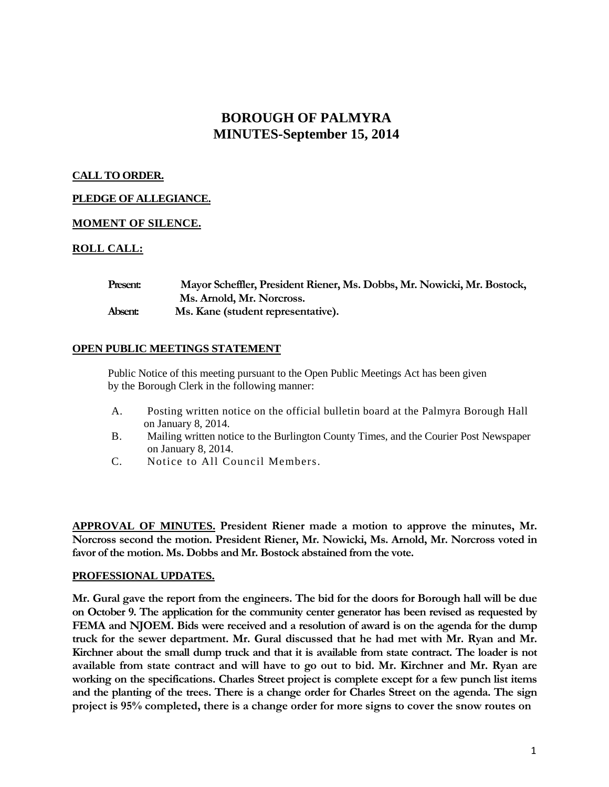# **BOROUGH OF PALMYRA MINUTES-September 15, 2014**

# **CALL TO ORDER.**

# **PLEDGE OF ALLEGIANCE.**

# **MOMENT OF SILENCE.**

# **ROLL CALL:**

| <b>Present:</b> | Mayor Scheffler, President Riener, Ms. Dobbs, Mr. Nowicki, Mr. Bostock, |
|-----------------|-------------------------------------------------------------------------|
|                 | Ms. Arnold, Mr. Norcross.                                               |
| Absent:         | Ms. Kane (student representative).                                      |

#### **OPEN PUBLIC MEETINGS STATEMENT**

Public Notice of this meeting pursuant to the Open Public Meetings Act has been given by the Borough Clerk in the following manner:

- A. Posting written notice on the official bulletin board at the Palmyra Borough Hall on January 8, 2014.
- B. Mailing written notice to the Burlington County Times, and the Courier Post Newspaper on January 8, 2014.
- C. Notice to All Council Members.

**APPROVAL OF MINUTES. President Riener made a motion to approve the minutes, Mr. Norcross second the motion. President Riener, Mr. Nowicki, Ms. Arnold, Mr. Norcross voted in favor of the motion. Ms. Dobbs and Mr. Bostock abstained from the vote.**

#### **PROFESSIONAL UPDATES.**

**Mr. Gural gave the report from the engineers. The bid for the doors for Borough hall will be due on October 9. The application for the community center generator has been revised as requested by FEMA and NJOEM. Bids were received and a resolution of award is on the agenda for the dump truck for the sewer department. Mr. Gural discussed that he had met with Mr. Ryan and Mr. Kirchner about the small dump truck and that it is available from state contract. The loader is not available from state contract and will have to go out to bid. Mr. Kirchner and Mr. Ryan are working on the specifications. Charles Street project is complete except for a few punch list items and the planting of the trees. There is a change order for Charles Street on the agenda. The sign project is 95% completed, there is a change order for more signs to cover the snow routes on**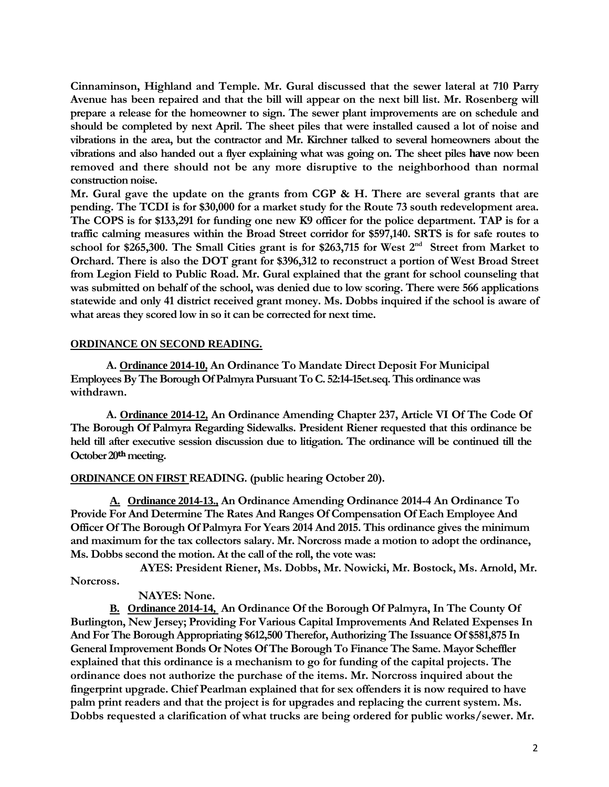**Cinnaminson, Highland and Temple. Mr. Gural discussed that the sewer lateral at 710 Parry Avenue has been repaired and that the bill will appear on the next bill list. Mr. Rosenberg will prepare a release for the homeowner to sign. The sewer plant improvements are on schedule and should be completed by next April. The sheet piles that were installed caused a lot of noise and vibrations in the area, but the contractor and Mr. Kirchner talked to several homeowners about the vibrations and also handed out a flyer explaining what was going on. The sheet piles have now been removed and there should not be any more disruptive to the neighborhood than normal construction noise.**

**Mr. Gural gave the update on the grants from CGP & H. There are several grants that are pending. The TCDI is for \$30,000 for a market study for the Route 73 south redevelopment area. The COPS is for \$133,291 for funding one new K9 officer for the police department. TAP is for a traffic calming measures within the Broad Street corridor for \$597,140. SRTS is for safe routes to school for \$265,300. The Small Cities grant is for \$263,715 for West 2nd Street from Market to Orchard. There is also the DOT grant for \$396,312 to reconstruct a portion of West Broad Street from Legion Field to Public Road. Mr. Gural explained that the grant for school counseling that was submitted on behalf of the school, was denied due to low scoring. There were 566 applications statewide and only 41 district received grant money. Ms. Dobbs inquired if the school is aware of what areas they scored low in so it can be corrected for next time.**

## **ORDINANCE ON SECOND READING.**

**A. Ordinance 2014-10, An Ordinance To Mandate Direct Deposit For Municipal Employees By The Borough Of Palmyra Pursuant To C. 52:14-15et.seq. This ordinance was withdrawn.**

**A. Ordinance 2014-12, An Ordinance Amending Chapter 237, Article VI Of The Code Of The Borough Of Palmyra Regarding Sidewalks. President Riener requested that this ordinance be held till after executive session discussion due to litigation. The ordinance will be continued till the October 20thmeeting.**

# **ORDINANCE ON FIRST READING. (public hearing October 20).**

**A. Ordinance 2014-13., An Ordinance Amending Ordinance 2014-4 An Ordinance To Provide For And Determine The Rates And Ranges Of Compensation Of Each Employee And Officer Of The Borough Of Palmyra For Years 2014 And 2015. This ordinance gives the minimum and maximum for the tax collectors salary. Mr. Norcross made a motion to adopt the ordinance, Ms. Dobbs second the motion. At the call of the roll, the vote was:**

**AYES: President Riener, Ms. Dobbs, Mr. Nowicki, Mr. Bostock, Ms. Arnold, Mr. Norcross.**

#### **NAYES: None.**

**B. Ordinance 2014-14, An Ordinance Of the Borough Of Palmyra, In The County Of Burlington, New Jersey; Providing For Various Capital Improvements And Related Expenses In And For The Borough Appropriating \$612,500 Therefor, Authorizing The Issuance Of \$581,875 In General Improvement Bonds Or Notes Of The Borough To Finance The Same. Mayor Scheffler explained that this ordinance is a mechanism to go for funding of the capital projects. The ordinance does not authorize the purchase of the items. Mr. Norcross inquired about the fingerprint upgrade. Chief Pearlman explained that for sex offenders it is now required to have palm print readers and that the project is for upgrades and replacing the current system. Ms. Dobbs requested a clarification of what trucks are being ordered for public works/sewer. Mr.**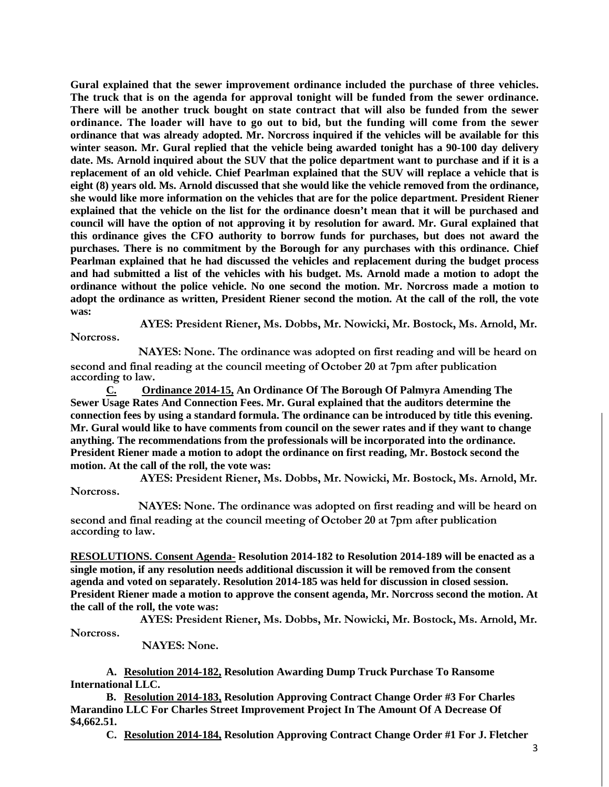**Gural explained that the sewer improvement ordinance included the purchase of three vehicles. The truck that is on the agenda for approval tonight will be funded from the sewer ordinance. There will be another truck bought on state contract that will also be funded from the sewer ordinance. The loader will have to go out to bid, but the funding will come from the sewer ordinance that was already adopted. Mr. Norcross inquired if the vehicles will be available for this winter season. Mr. Gural replied that the vehicle being awarded tonight has a 90-100 day delivery date. Ms. Arnold inquired about the SUV that the police department want to purchase and if it is a replacement of an old vehicle. Chief Pearlman explained that the SUV will replace a vehicle that is eight (8) years old. Ms. Arnold discussed that she would like the vehicle removed from the ordinance, she would like more information on the vehicles that are for the police department. President Riener explained that the vehicle on the list for the ordinance doesn't mean that it will be purchased and council will have the option of not approving it by resolution for award. Mr. Gural explained that this ordinance gives the CFO authority to borrow funds for purchases, but does not award the purchases. There is no commitment by the Borough for any purchases with this ordinance. Chief Pearlman explained that he had discussed the vehicles and replacement during the budget process and had submitted a list of the vehicles with his budget. Ms. Arnold made a motion to adopt the ordinance without the police vehicle. No one second the motion. Mr. Norcross made a motion to adopt the ordinance as written, President Riener second the motion. At the call of the roll, the vote was:**

**AYES: President Riener, Ms. Dobbs, Mr. Nowicki, Mr. Bostock, Ms. Arnold, Mr. Norcross.**

**NAYES: None. The ordinance was adopted on first reading and will be heard on second and final reading at the council meeting of October 20 at 7pm after publication according to law.** 

**C. Ordinance 2014-15, An Ordinance Of The Borough Of Palmyra Amending The Sewer Usage Rates And Connection Fees. Mr. Gural explained that the auditors determine the connection fees by using a standard formula. The ordinance can be introduced by title this evening. Mr. Gural would like to have comments from council on the sewer rates and if they want to change anything. The recommendations from the professionals will be incorporated into the ordinance. President Riener made a motion to adopt the ordinance on first reading, Mr. Bostock second the motion. At the call of the roll, the vote was:**

**AYES: President Riener, Ms. Dobbs, Mr. Nowicki, Mr. Bostock, Ms. Arnold, Mr. Norcross.**

**NAYES: None. The ordinance was adopted on first reading and will be heard on second and final reading at the council meeting of October 20 at 7pm after publication according to law.** 

**RESOLUTIONS. Consent Agenda- Resolution 2014-182 to Resolution 2014-189 will be enacted as a single motion, if any resolution needs additional discussion it will be removed from the consent agenda and voted on separately. Resolution 2014-185 was held for discussion in closed session. President Riener made a motion to approve the consent agenda, Mr. Norcross second the motion. At the call of the roll, the vote was:**

**AYES: President Riener, Ms. Dobbs, Mr. Nowicki, Mr. Bostock, Ms. Arnold, Mr. Norcross.**

**NAYES: None.**

**A. Resolution 2014-182, Resolution Awarding Dump Truck Purchase To Ransome International LLC.**

**B. Resolution 2014-183, Resolution Approving Contract Change Order #3 For Charles Marandino LLC For Charles Street Improvement Project In The Amount Of A Decrease Of \$4,662.51.**

**C. Resolution 2014-184, Resolution Approving Contract Change Order #1 For J. Fletcher**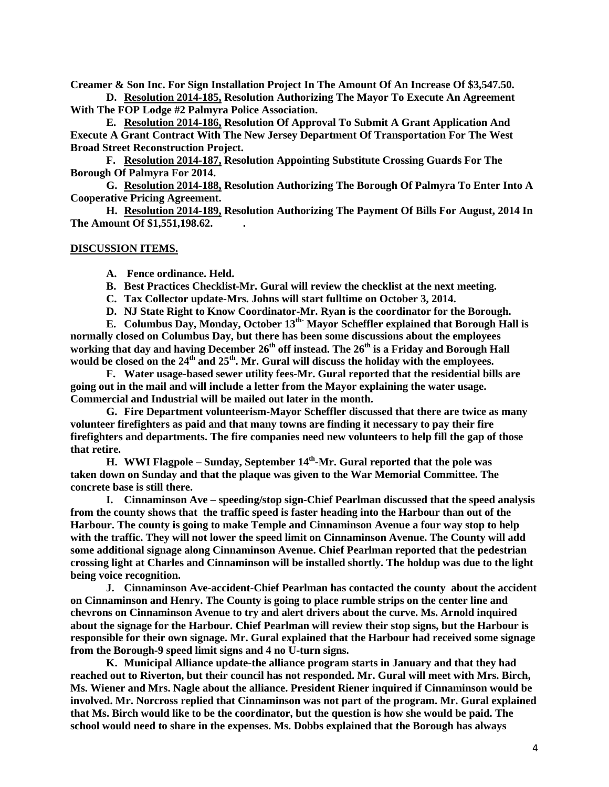**Creamer & Son Inc. For Sign Installation Project In The Amount Of An Increase Of \$3,547.50. D. Resolution 2014-185, Resolution Authorizing The Mayor To Execute An Agreement**

**With The FOP Lodge #2 Palmyra Police Association.** 

**E. Resolution 2014-186, Resolution Of Approval To Submit A Grant Application And Execute A Grant Contract With The New Jersey Department Of Transportation For The West Broad Street Reconstruction Project.**

**F. Resolution 2014-187, Resolution Appointing Substitute Crossing Guards For The Borough Of Palmyra For 2014.**

**G. Resolution 2014-188, Resolution Authorizing The Borough Of Palmyra To Enter Into A Cooperative Pricing Agreement.**

**H. Resolution 2014-189, Resolution Authorizing The Payment Of Bills For August, 2014 In The Amount Of \$1,551,198.62. .**

#### **DISCUSSION ITEMS.**

**A. Fence ordinance. Held.** 

- **B. Best Practices Checklist-Mr. Gural will review the checklist at the next meeting.**
- **C. Tax Collector update-Mrs. Johns will start fulltime on October 3, 2014.**
- **D. NJ State Right to Know Coordinator-Mr. Ryan is the coordinator for the Borough.**

**E. Columbus Day, Monday, October 13th- Mayor Scheffler explained that Borough Hall is normally closed on Columbus Day, but there has been some discussions about the employees working that day and having December 26th off instead. The 26th is a Friday and Borough Hall would be closed on the 24th and 25th. Mr. Gural will discuss the holiday with the employees.** 

**F. Water usage-based sewer utility fees-Mr. Gural reported that the residential bills are going out in the mail and will include a letter from the Mayor explaining the water usage. Commercial and Industrial will be mailed out later in the month.** 

**G. Fire Department volunteerism-Mayor Scheffler discussed that there are twice as many volunteer firefighters as paid and that many towns are finding it necessary to pay their fire firefighters and departments. The fire companies need new volunteers to help fill the gap of those that retire.** 

**H.** WWI Flagpole – Sunday, September 14<sup>th</sup>-Mr. Gural reported that the pole was **taken down on Sunday and that the plaque was given to the War Memorial Committee. The concrete base is still there.** 

**I. Cinnaminson Ave – speeding/stop sign-Chief Pearlman discussed that the speed analysis from the county shows that the traffic speed is faster heading into the Harbour than out of the Harbour. The county is going to make Temple and Cinnaminson Avenue a four way stop to help with the traffic. They will not lower the speed limit on Cinnaminson Avenue. The County will add some additional signage along Cinnaminson Avenue. Chief Pearlman reported that the pedestrian crossing light at Charles and Cinnaminson will be installed shortly. The holdup was due to the light being voice recognition.** 

**J. Cinnaminson Ave-accident-Chief Pearlman has contacted the county about the accident on Cinnaminson and Henry. The County is going to place rumble strips on the center line and chevrons on Cinnaminson Avenue to try and alert drivers about the curve. Ms. Arnold inquired about the signage for the Harbour. Chief Pearlman will review their stop signs, but the Harbour is responsible for their own signage. Mr. Gural explained that the Harbour had received some signage from the Borough-9 speed limit signs and 4 no U-turn signs.** 

**K. Municipal Alliance update-the alliance program starts in January and that they had reached out to Riverton, but their council has not responded. Mr. Gural will meet with Mrs. Birch, Ms. Wiener and Mrs. Nagle about the alliance. President Riener inquired if Cinnaminson would be involved. Mr. Norcross replied that Cinnaminson was not part of the program. Mr. Gural explained that Ms. Birch would like to be the coordinator, but the question is how she would be paid. The school would need to share in the expenses. Ms. Dobbs explained that the Borough has always**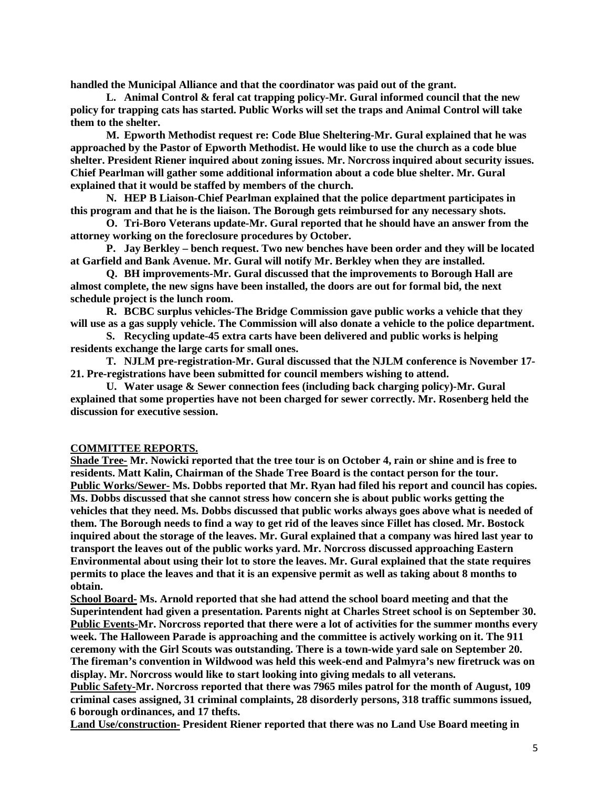**handled the Municipal Alliance and that the coordinator was paid out of the grant.** 

**L. Animal Control & feral cat trapping policy-Mr. Gural informed council that the new policy for trapping cats has started. Public Works will set the traps and Animal Control will take them to the shelter.** 

**M. Epworth Methodist request re: Code Blue Sheltering-Mr. Gural explained that he was approached by the Pastor of Epworth Methodist. He would like to use the church as a code blue shelter. President Riener inquired about zoning issues. Mr. Norcross inquired about security issues. Chief Pearlman will gather some additional information about a code blue shelter. Mr. Gural explained that it would be staffed by members of the church.** 

**N. HEP B Liaison-Chief Pearlman explained that the police department participates in this program and that he is the liaison. The Borough gets reimbursed for any necessary shots.** 

**O. Tri-Boro Veterans update-Mr. Gural reported that he should have an answer from the attorney working on the foreclosure procedures by October.** 

**P. Jay Berkley – bench request. Two new benches have been order and they will be located at Garfield and Bank Avenue. Mr. Gural will notify Mr. Berkley when they are installed.** 

**Q. BH improvements-Mr. Gural discussed that the improvements to Borough Hall are almost complete, the new signs have been installed, the doors are out for formal bid, the next schedule project is the lunch room.** 

**R. BCBC surplus vehicles-The Bridge Commission gave public works a vehicle that they will use as a gas supply vehicle. The Commission will also donate a vehicle to the police department.** 

**S. Recycling update-45 extra carts have been delivered and public works is helping residents exchange the large carts for small ones.** 

**T. NJLM pre-registration-Mr. Gural discussed that the NJLM conference is November 17- 21. Pre-registrations have been submitted for council members wishing to attend.** 

**U. Water usage & Sewer connection fees (including back charging policy)-Mr. Gural explained that some properties have not been charged for sewer correctly. Mr. Rosenberg held the discussion for executive session.** 

#### **COMMITTEE REPORTS.**

**Shade Tree- Mr. Nowicki reported that the tree tour is on October 4, rain or shine and is free to residents. Matt Kalin, Chairman of the Shade Tree Board is the contact person for the tour. Public Works/Sewer- Ms. Dobbs reported that Mr. Ryan had filed his report and council has copies. Ms. Dobbs discussed that she cannot stress how concern she is about public works getting the vehicles that they need. Ms. Dobbs discussed that public works always goes above what is needed of them. The Borough needs to find a way to get rid of the leaves since Fillet has closed. Mr. Bostock inquired about the storage of the leaves. Mr. Gural explained that a company was hired last year to transport the leaves out of the public works yard. Mr. Norcross discussed approaching Eastern Environmental about using their lot to store the leaves. Mr. Gural explained that the state requires permits to place the leaves and that it is an expensive permit as well as taking about 8 months to obtain.** 

**School Board- Ms. Arnold reported that she had attend the school board meeting and that the Superintendent had given a presentation. Parents night at Charles Street school is on September 30. Public Events-Mr. Norcross reported that there were a lot of activities for the summer months every week. The Halloween Parade is approaching and the committee is actively working on it. The 911 ceremony with the Girl Scouts was outstanding. There is a town-wide yard sale on September 20. The fireman's convention in Wildwood was held this week-end and Palmyra's new firetruck was on display. Mr. Norcross would like to start looking into giving medals to all veterans.** 

**Public Safety-Mr. Norcross reported that there was 7965 miles patrol for the month of August, 109 criminal cases assigned, 31 criminal complaints, 28 disorderly persons, 318 traffic summons issued, 6 borough ordinances, and 17 thefts.** 

**Land Use/construction- President Riener reported that there was no Land Use Board meeting in**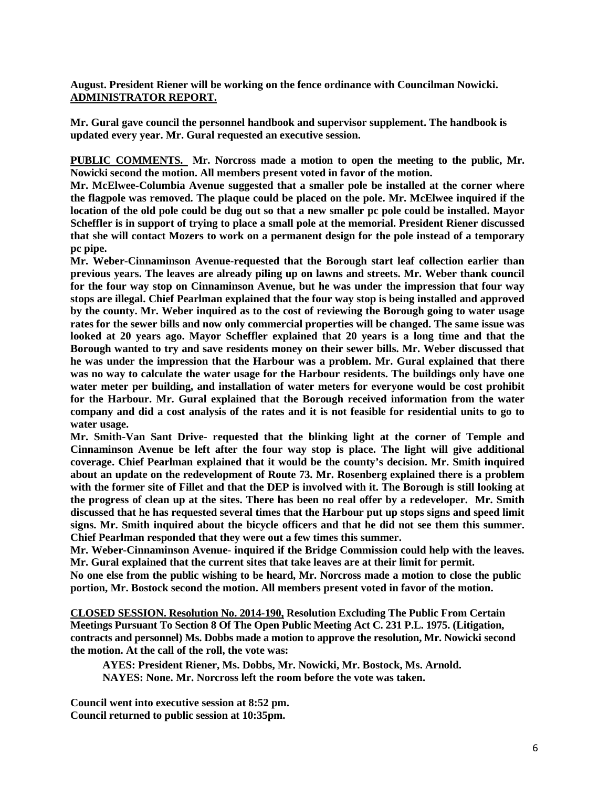### **August. President Riener will be working on the fence ordinance with Councilman Nowicki. ADMINISTRATOR REPORT.**

**Mr. Gural gave council the personnel handbook and supervisor supplement. The handbook is updated every year. Mr. Gural requested an executive session.**

**PUBLIC COMMENTS. Mr. Norcross made a motion to open the meeting to the public, Mr. Nowicki second the motion. All members present voted in favor of the motion.**

**Mr. McElwee-Columbia Avenue suggested that a smaller pole be installed at the corner where the flagpole was removed. The plaque could be placed on the pole. Mr. McElwee inquired if the location of the old pole could be dug out so that a new smaller pc pole could be installed. Mayor Scheffler is in support of trying to place a small pole at the memorial. President Riener discussed that she will contact Mozers to work on a permanent design for the pole instead of a temporary pc pipe.** 

**Mr. Weber-Cinnaminson Avenue-requested that the Borough start leaf collection earlier than previous years. The leaves are already piling up on lawns and streets. Mr. Weber thank council for the four way stop on Cinnaminson Avenue, but he was under the impression that four way stops are illegal. Chief Pearlman explained that the four way stop is being installed and approved by the county. Mr. Weber inquired as to the cost of reviewing the Borough going to water usage rates for the sewer bills and now only commercial properties will be changed. The same issue was looked at 20 years ago. Mayor Scheffler explained that 20 years is a long time and that the Borough wanted to try and save residents money on their sewer bills. Mr. Weber discussed that he was under the impression that the Harbour was a problem. Mr. Gural explained that there was no way to calculate the water usage for the Harbour residents. The buildings only have one water meter per building, and installation of water meters for everyone would be cost prohibit for the Harbour. Mr. Gural explained that the Borough received information from the water company and did a cost analysis of the rates and it is not feasible for residential units to go to water usage.** 

**Mr. Smith-Van Sant Drive- requested that the blinking light at the corner of Temple and Cinnaminson Avenue be left after the four way stop is place. The light will give additional coverage. Chief Pearlman explained that it would be the county's decision. Mr. Smith inquired about an update on the redevelopment of Route 73. Mr. Rosenberg explained there is a problem with the former site of Fillet and that the DEP is involved with it. The Borough is still looking at the progress of clean up at the sites. There has been no real offer by a redeveloper. Mr. Smith discussed that he has requested several times that the Harbour put up stops signs and speed limit signs. Mr. Smith inquired about the bicycle officers and that he did not see them this summer. Chief Pearlman responded that they were out a few times this summer.** 

**Mr. Weber-Cinnaminson Avenue- inquired if the Bridge Commission could help with the leaves. Mr. Gural explained that the current sites that take leaves are at their limit for permit.**

**No one else from the public wishing to be heard, Mr. Norcross made a motion to close the public portion, Mr. Bostock second the motion. All members present voted in favor of the motion.**

**CLOSED SESSION. Resolution No. 2014-190, Resolution Excluding The Public From Certain Meetings Pursuant To Section 8 Of The Open Public Meeting Act C. 231 P.L. 1975. (Litigation, contracts and personnel) Ms. Dobbs made a motion to approve the resolution, Mr. Nowicki second the motion. At the call of the roll, the vote was:**

**AYES: President Riener, Ms. Dobbs, Mr. Nowicki, Mr. Bostock, Ms. Arnold. NAYES: None. Mr. Norcross left the room before the vote was taken.**

**Council went into executive session at 8:52 pm. Council returned to public session at 10:35pm.**